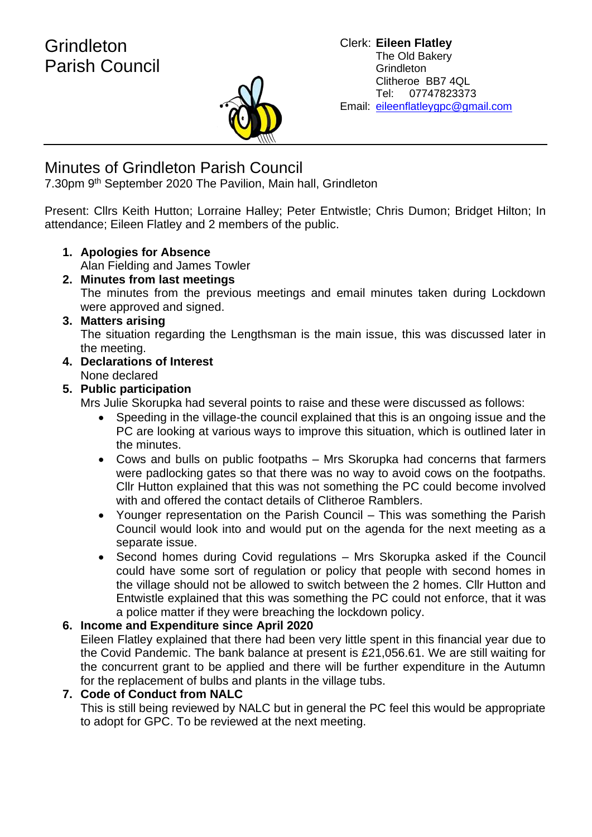

# Minutes of Grindleton Parish Council

7.30pm 9<sup>th</sup> September 2020 The Pavilion, Main hall, Grindleton

Present: Cllrs Keith Hutton; Lorraine Halley; Peter Entwistle; Chris Dumon; Bridget Hilton; In attendance; Eileen Flatley and 2 members of the public.

#### **1. Apologies for Absence** Alan Fielding and James Towler

**2. Minutes from last meetings** The minutes from the previous meetings and email minutes taken during Lockdown were approved and signed.

## **3. Matters arising**

The situation regarding the Lengthsman is the main issue, this was discussed later in the meeting.

**4. Declarations of Interest** None declared

## **5. Public participation**

Mrs Julie Skorupka had several points to raise and these were discussed as follows:

- Speeding in the village-the council explained that this is an ongoing issue and the PC are looking at various ways to improve this situation, which is outlined later in the minutes.
- Cows and bulls on public footpaths Mrs Skorupka had concerns that farmers were padlocking gates so that there was no way to avoid cows on the footpaths. Cllr Hutton explained that this was not something the PC could become involved with and offered the contact details of Clitheroe Ramblers.
- Younger representation on the Parish Council This was something the Parish Council would look into and would put on the agenda for the next meeting as a separate issue.
- Second homes during Covid regulations Mrs Skorupka asked if the Council could have some sort of regulation or policy that people with second homes in the village should not be allowed to switch between the 2 homes. Cllr Hutton and Entwistle explained that this was something the PC could not enforce, that it was a police matter if they were breaching the lockdown policy.

#### **6. Income and Expenditure since April 2020**

Eileen Flatley explained that there had been very little spent in this financial year due to the Covid Pandemic. The bank balance at present is £21,056.61. We are still waiting for the concurrent grant to be applied and there will be further expenditure in the Autumn for the replacement of bulbs and plants in the village tubs.

#### **7. Code of Conduct from NALC**

This is still being reviewed by NALC but in general the PC feel this would be appropriate to adopt for GPC. To be reviewed at the next meeting.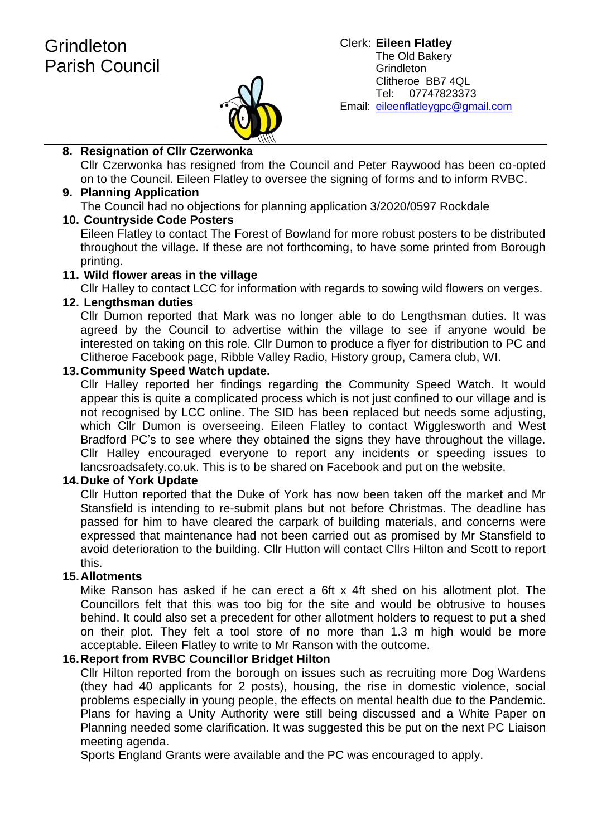

#### **8. Resignation of Cllr Czerwonka**

Cllr Czerwonka has resigned from the Council and Peter Raywood has been co-opted on to the Council. Eileen Flatley to oversee the signing of forms and to inform RVBC.

#### **9. Planning Application** The Council had no objections for planning application 3/2020/0597 Rockdale

#### **10. Countryside Code Posters**

Eileen Flatley to contact The Forest of Bowland for more robust posters to be distributed throughout the village. If these are not forthcoming, to have some printed from Borough printing.

#### **11. Wild flower areas in the village**

Cllr Halley to contact LCC for information with regards to sowing wild flowers on verges.

#### **12. Lengthsman duties**

Cllr Dumon reported that Mark was no longer able to do Lengthsman duties. It was agreed by the Council to advertise within the village to see if anyone would be interested on taking on this role. Cllr Dumon to produce a flyer for distribution to PC and Clitheroe Facebook page, Ribble Valley Radio, History group, Camera club, WI.

#### **13.Community Speed Watch update.**

Cllr Halley reported her findings regarding the Community Speed Watch. It would appear this is quite a complicated process which is not just confined to our village and is not recognised by LCC online. The SID has been replaced but needs some adjusting, which Cllr Dumon is overseeing. Eileen Flatley to contact Wigglesworth and West Bradford PC's to see where they obtained the signs they have throughout the village. Cllr Halley encouraged everyone to report any incidents or speeding issues to lancsroadsafety.co.uk. This is to be shared on Facebook and put on the website.

#### **14.Duke of York Update**

Cllr Hutton reported that the Duke of York has now been taken off the market and Mr Stansfield is intending to re-submit plans but not before Christmas. The deadline has passed for him to have cleared the carpark of building materials, and concerns were expressed that maintenance had not been carried out as promised by Mr Stansfield to avoid deterioration to the building. Cllr Hutton will contact Cllrs Hilton and Scott to report this.

#### **15.Allotments**

Mike Ranson has asked if he can erect a 6ft x 4ft shed on his allotment plot. The Councillors felt that this was too big for the site and would be obtrusive to houses behind. It could also set a precedent for other allotment holders to request to put a shed on their plot. They felt a tool store of no more than 1.3 m high would be more acceptable. Eileen Flatley to write to Mr Ranson with the outcome.

#### **16.Report from RVBC Councillor Bridget Hilton**

Cllr Hilton reported from the borough on issues such as recruiting more Dog Wardens (they had 40 applicants for 2 posts), housing, the rise in domestic violence, social problems especially in young people, the effects on mental health due to the Pandemic. Plans for having a Unity Authority were still being discussed and a White Paper on Planning needed some clarification. It was suggested this be put on the next PC Liaison meeting agenda.

Sports England Grants were available and the PC was encouraged to apply.